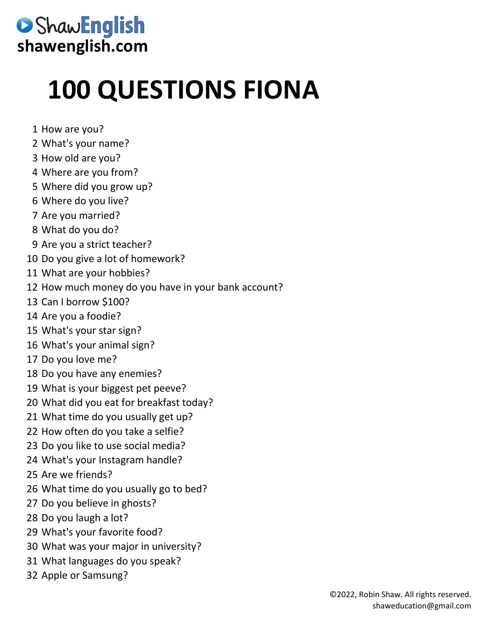## ShawEnglish **shawenglish.com**

## **100 QUESTIONS FIONA**

- How are you?
- What's your name?
- How old are you?
- Where are you from?
- Where did you grow up?
- Where do you live?
- Are you married?
- What do you do?
- Are you a strict teacher?
- Do you give a lot of homework?
- What are your hobbies?
- How much money do you have in your bank account?
- Can I borrow \$100?
- Are you a foodie?
- What's your star sign?
- What's your animal sign?
- Do you love me?
- Do you have any enemies?
- What is your biggest pet peeve?
- What did you eat for breakfast today?
- What time do you usually get up?
- How often do you take a selfie?
- Do you like to use social media?
- What's your Instagram handle?
- Are we friends?
- What time do you usually go to bed?
- Do you believe in ghosts?
- Do you laugh a lot?
- What's your favorite food?
- What was your major in university?
- What languages do you speak?
- Apple or Samsung?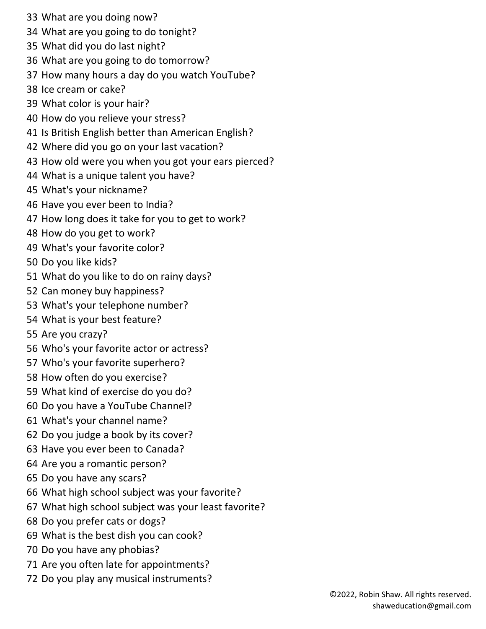- What are you doing now?
- What are you going to do tonight?
- What did you do last night?
- What are you going to do tomorrow?
- How many hours a day do you watch YouTube?
- Ice cream or cake?
- What color is your hair?
- How do you relieve your stress?
- Is British English better than American English?
- Where did you go on your last vacation?
- How old were you when you got your ears pierced?
- What is a unique talent you have?
- What's your nickname?
- Have you ever been to India?
- How long does it take for you to get to work?
- How do you get to work?
- What's your favorite color?
- Do you like kids?
- What do you like to do on rainy days?
- Can money buy happiness?
- What's your telephone number?
- What is your best feature?
- Are you crazy?
- Who's your favorite actor or actress?
- Who's your favorite superhero?
- How often do you exercise?
- What kind of exercise do you do?
- Do you have a YouTube Channel?
- What's your channel name?
- Do you judge a book by its cover?
- Have you ever been to Canada?
- Are you a romantic person?
- Do you have any scars?
- What high school subject was your favorite?
- What high school subject was your least favorite?
- Do you prefer cats or dogs?
- What is the best dish you can cook?
- Do you have any phobias?
- Are you often late for appointments?
- Do you play any musical instruments?